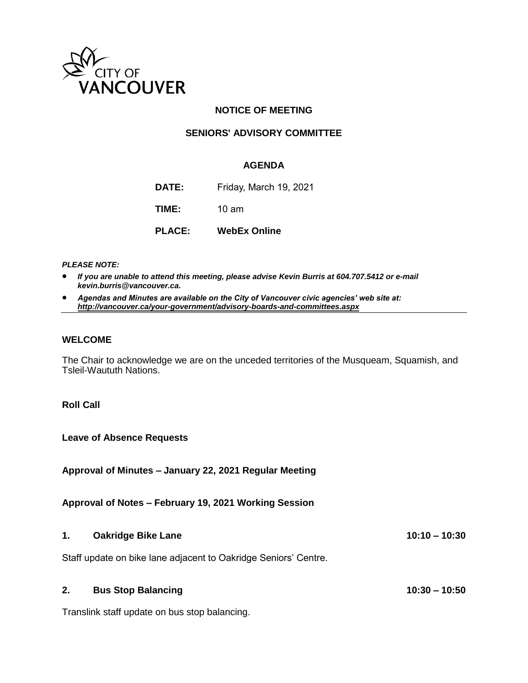

## **NOTICE OF MEETING**

### **SENIORS' ADVISORY COMMITTEE**

#### **AGENDA**

**DATE:** Friday, March 19, 2021

**TIME:** 10 am

**PLACE: WebEx Online**

*PLEASE NOTE:*

- *If you are unable to attend this meeting, please advise Kevin Burris at 604.707.5412 or e-mail kevin.burris@vancouver.ca.*
- *Agendas and Minutes are available on the City of Vancouver civic agencies' web site at: <http://vancouver.ca/your-government/advisory-boards-and-committees.aspx>*

#### **WELCOME**

The Chair to acknowledge we are on the unceded territories of the Musqueam, Squamish, and Tsleil-Waututh Nations.

### **Roll Call**

**Leave of Absence Requests** 

**Approval of Minutes – January 22, 2021 Regular Meeting**

**Approval of Notes – February 19, 2021 Working Session**

#### **1. Oakridge Bike Lane 10:10 – 10:30**

Staff update on bike lane adjacent to Oakridge Seniors' Centre.

## **2. Bus Stop Balancing 10:30 – 10:50**

Translink staff update on bus stop balancing.